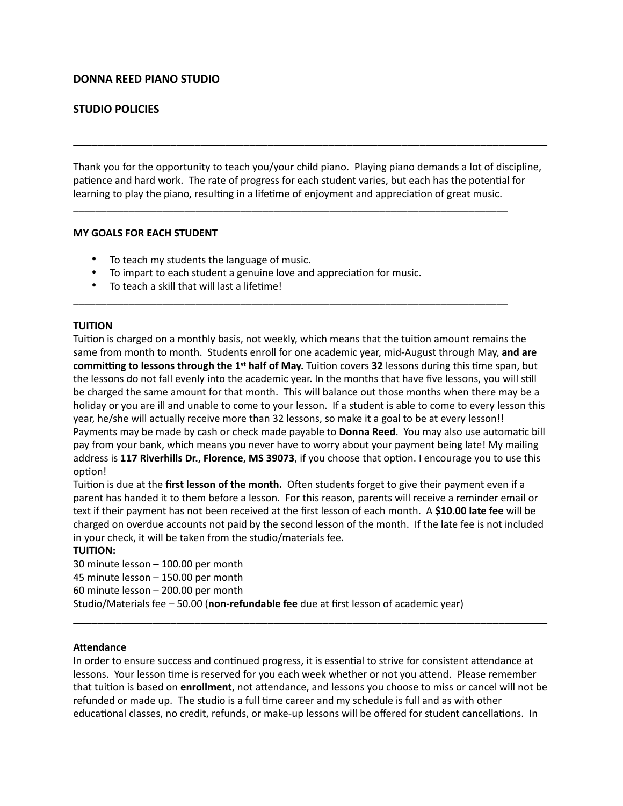# **DONNA REED PIANO STUDIO**

# **STUDIO POLICIES**

Thank you for the opportunity to teach you/your child piano. Playing piano demands a lot of discipline, patience and hard work. The rate of progress for each student varies, but each has the potential for learning to play the piano, resulting in a lifetime of enjoyment and appreciation of great music.

\_\_\_\_\_\_\_\_\_\_\_\_\_\_\_\_\_\_\_\_\_\_\_\_\_\_\_\_\_\_\_\_\_\_\_\_\_\_\_\_\_\_\_\_\_\_\_\_\_\_\_\_\_\_\_\_\_\_\_\_\_\_\_\_\_\_\_\_\_\_\_\_\_\_\_\_\_\_

\_\_\_\_\_\_\_\_\_\_\_\_\_\_\_\_\_\_\_\_\_\_\_\_\_\_\_\_\_\_\_\_\_\_\_\_\_\_\_\_\_\_\_\_\_\_\_\_\_\_\_\_\_\_\_\_\_\_\_\_\_\_\_\_\_\_\_\_\_\_\_\_\_\_\_\_\_\_

\_\_\_\_\_\_\_\_\_\_\_\_\_\_\_\_\_\_\_\_\_\_\_\_\_\_\_\_\_\_\_\_\_\_\_\_\_\_\_\_\_\_\_\_\_\_\_\_\_\_\_\_\_\_\_\_\_\_\_\_\_\_\_\_\_\_\_\_\_\_\_\_\_\_\_\_\_\_

### **MY GOALS FOR EACH STUDENT**

- To teach my students the language of music.
- To impart to each student a genuine love and appreciation for music.
- To teach a skill that will last a lifetime!

#### **TUITION**

Tuition is charged on a monthly basis, not weekly, which means that the tuition amount remains the same from month to month. Students enroll for one academic year, mid-August through May, **and are committing to lessons through the 1st half of May.** Tuition covers 32 lessons during this time span, but the lessons do not fall evenly into the academic year. In the months that have five lessons, you will still be charged the same amount for that month. This will balance out those months when there may be a holiday or you are ill and unable to come to your lesson. If a student is able to come to every lesson this year, he/she will actually receive more than 32 lessons, so make it a goal to be at every lesson!! Payments may be made by cash or check made payable to **Donna Reed**. You may also use automatic bill pay from your bank, which means you never have to worry about your payment being late! My mailing address is 117 Riverhills Dr., Florence, MS 39073, if you choose that option. I encourage you to use this option!

Tuition is due at the **first lesson of the month.** Often students forget to give their payment even if a parent has handed it to them before a lesson. For this reason, parents will receive a reminder email or text if their payment has not been received at the first lesson of each month. A **\$10.00 late fee** will be charged on overdue accounts not paid by the second lesson of the month. If the late fee is not included in your check, it will be taken from the studio/materials fee.

### **TUITION:**

30 minute lesson – 100.00 per month

45 minute lesson – 150.00 per month

60 minute lesson – 200.00 per month

Studio/Materials fee – 50.00 (**non-refundable fee** due at first lesson of academic year)

#### **ATendance**

In order to ensure success and continued progress, it is essential to strive for consistent attendance at lessons. Your lesson time is reserved for you each week whether or not you attend. Please remember that tuition is based on *enrollment*, not attendance, and lessons you choose to miss or cancel will not be refunded or made up. The studio is a full time career and my schedule is full and as with other educational classes, no credit, refunds, or make-up lessons will be offered for student cancellations. In

\_\_\_\_\_\_\_\_\_\_\_\_\_\_\_\_\_\_\_\_\_\_\_\_\_\_\_\_\_\_\_\_\_\_\_\_\_\_\_\_\_\_\_\_\_\_\_\_\_\_\_\_\_\_\_\_\_\_\_\_\_\_\_\_\_\_\_\_\_\_\_\_\_\_\_\_\_\_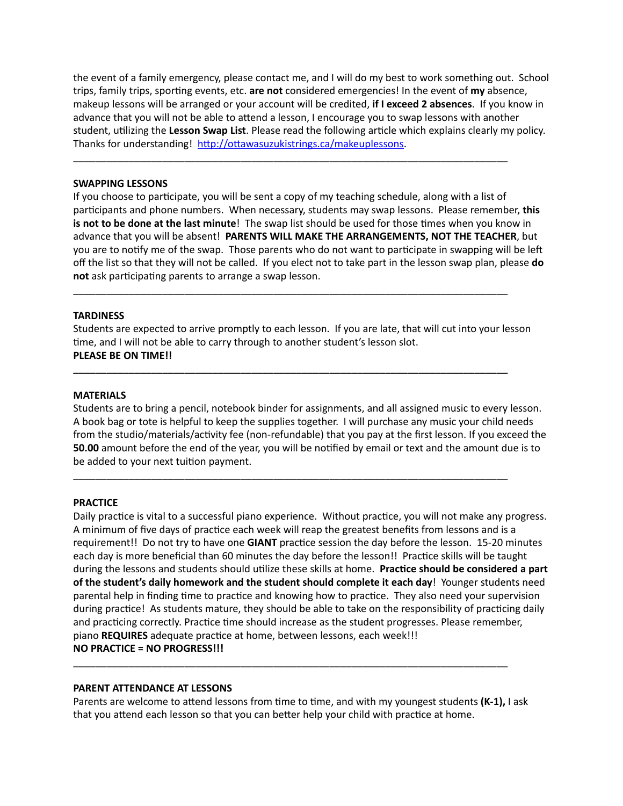the event of a family emergency, please contact me, and I will do my best to work something out. School trips, family trips, sporting events, etc. are not considered emergencies! In the event of my absence. makeup lessons will be arranged or your account will be credited, **if I exceed 2 absences**. If you know in advance that you will not be able to attend a lesson, I encourage you to swap lessons with another student, utilizing the Lesson Swap List. Please read the following article which explains clearly my policy. Thanks for understanding! http://ottawasuzukistrings.ca/makeuplessons.

\_\_\_\_\_\_\_\_\_\_\_\_\_\_\_\_\_\_\_\_\_\_\_\_\_\_\_\_\_\_\_\_\_\_\_\_\_\_\_\_\_\_\_\_\_\_\_\_\_\_\_\_\_\_\_\_\_\_\_\_\_\_\_\_\_\_\_\_\_\_\_\_\_\_\_\_\_\_

#### **SWAPPING LESSONS**

If you choose to participate, you will be sent a copy of my teaching schedule, along with a list of participants and phone numbers. When necessary, students may swap lessons. Please remember, this is not to be done at the last minute! The swap list should be used for those times when you know in advance that you will be absent! **PARENTS WILL MAKE THE ARRANGEMENTS, NOT THE TEACHER**, but you are to notify me of the swap. Those parents who do not want to participate in swapping will be left off the list so that they will not be called. If you elect not to take part in the lesson swap plan, please **do**  not ask participating parents to arrange a swap lesson.

#### **TARDINESS**

Students are expected to arrive promptly to each lesson. If you are late, that will cut into your lesson time, and I will not be able to carry through to another student's lesson slot. **PLEASE BE ON TIME!!** 

\_\_\_\_\_\_\_\_\_\_\_\_\_\_\_\_\_\_\_\_\_\_\_\_\_\_\_\_\_\_\_\_\_\_\_\_\_\_\_\_\_\_\_\_\_\_\_\_\_\_\_\_\_\_\_\_\_\_\_\_\_\_\_\_\_\_\_\_\_\_\_\_\_\_\_\_\_\_

**\_\_\_\_\_\_\_\_\_\_\_\_\_\_\_\_\_\_\_\_\_\_\_\_\_\_\_\_\_\_\_\_\_\_\_\_\_\_\_\_\_\_\_\_\_\_\_\_\_\_\_\_\_\_\_\_\_\_\_\_\_\_\_\_\_\_\_\_\_\_\_\_\_\_\_\_\_\_** 

\_\_\_\_\_\_\_\_\_\_\_\_\_\_\_\_\_\_\_\_\_\_\_\_\_\_\_\_\_\_\_\_\_\_\_\_\_\_\_\_\_\_\_\_\_\_\_\_\_\_\_\_\_\_\_\_\_\_\_\_\_\_\_\_\_\_\_\_\_\_\_\_\_\_\_\_\_\_

#### **MATERIALS**

Students are to bring a pencil, notebook binder for assignments, and all assigned music to every lesson. A book bag or tote is helpful to keep the supplies together. I will purchase any music your child needs from the studio/materials/activity fee (non-refundable) that you pay at the first lesson. If you exceed the **50.00** amount before the end of the year, you will be notified by email or text and the amount due is to be added to your next tuition payment.

#### **PRACTICE**

Daily practice is vital to a successful piano experience. Without practice, you will not make any progress. A minimum of five days of practice each week will reap the greatest benefits from lessons and is a requirement!! Do not try to have one GIANT practice session the day before the lesson. 15-20 minutes each day is more beneficial than 60 minutes the day before the lesson!! Practice skills will be taught during the lessons and students should utilize these skills at home. **Practice should be considered a part of the student's daily homework and the student should complete it each day**! Younger students need parental help in finding time to practice and knowing how to practice. They also need your supervision during practice! As students mature, they should be able to take on the responsibility of practicing daily and practicing correctly. Practice time should increase as the student progresses. Please remember, piano **REQUIRES** adequate practice at home, between lessons, each week!!! **NO PRACTICE = NO PROGRESS!!!**

#### **PARENT ATTENDANCE AT LESSONS**

Parents are welcome to attend lessons from time to time, and with my youngest students (K-1), I ask that you attend each lesson so that you can better help your child with practice at home.

\_\_\_\_\_\_\_\_\_\_\_\_\_\_\_\_\_\_\_\_\_\_\_\_\_\_\_\_\_\_\_\_\_\_\_\_\_\_\_\_\_\_\_\_\_\_\_\_\_\_\_\_\_\_\_\_\_\_\_\_\_\_\_\_\_\_\_\_\_\_\_\_\_\_\_\_\_\_